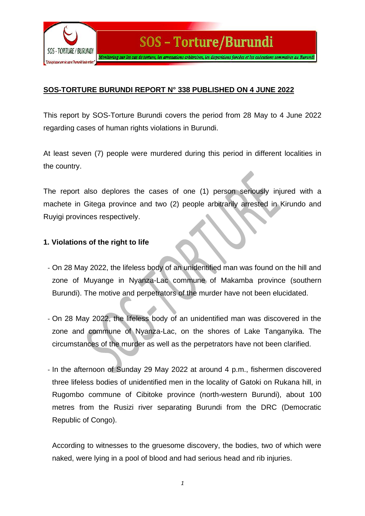

### **SOS-TORTURE BURUNDI REPORT N° 338 PUBLISHED ON 4 JUNE 2022**

This report by SOS-Torture Burundi covers the period from 28 May to 4 June 2022 regarding cases of human rights violations in Burundi.

At least seven (7) people were murdered during this period in different localities in the country.

The report also deplores the cases of one (1) person seriously injured with a machete in Gitega province and two (2) people arbitrarily arrested in Kirundo and Ruyigi provinces respectively.

#### **1. Violations of the right to life**

- On 28 May 2022, the lifeless body of an unidentified man was found on the hill and zone of Muyange in Nyanza-Lac commune of Makamba province (southern Burundi). The motive and perpetrators of the murder have not been elucidated.
- On 28 May 2022, the lifeless body of an unidentified man was discovered in the zone and commune of Nyanza-Lac, on the shores of Lake Tanganyika. The circumstances of the murder as well as the perpetrators have not been clarified.
- In the afternoon of Sunday 29 May 2022 at around 4 p.m., fishermen discovered three lifeless bodies of unidentified men in the locality of Gatoki on Rukana hill, in Rugombo commune of Cibitoke province (north-western Burundi), about 100 metres from the Rusizi river separating Burundi from the DRC (Democratic Republic of Congo).

According to witnesses to the gruesome discovery, the bodies, two of which were naked, were lying in a pool of blood and had serious head and rib injuries.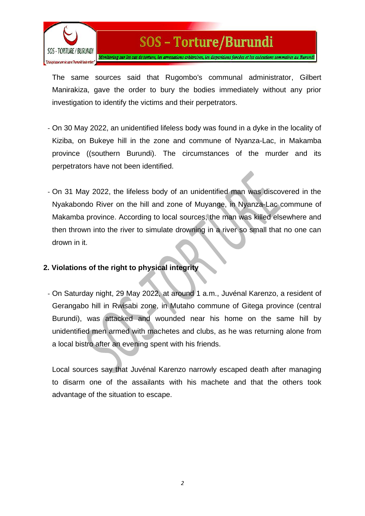

## SOS - Torture/Burundi

Monitoring sur les cas de torture, les arrestations arbitraires, les disparitions forcées et les exécutions sommaires au Burundi

The same sources said that Rugombo's communal administrator, Gilbert Manirakiza, gave the order to bury the bodies immediately without any prior investigation to identify the victims and their perpetrators.

- On 30 May 2022, an unidentified lifeless body was found in a dyke in the locality of Kiziba, on Bukeye hill in the zone and commune of Nyanza-Lac, in Makamba province ((southern Burundi). The circumstances of the murder and its perpetrators have not been identified.
- On 31 May 2022, the lifeless body of an unidentified man was discovered in the Nyakabondo River on the hill and zone of Muyange, in Nyanza-Lac commune of Makamba province. According to local sources, the man was killed elsewhere and then thrown into the river to simulate drowning in a river so small that no one can drown in it.

#### **2. Violations of the right to physical integrity**

- On Saturday night, 29 May 2022, at around 1 a.m., Juvénal Karenzo, a resident of Gerangabo hill in Rwisabi zone, in Mutaho commune of Gitega province (central Burundi), was attacked and wounded near his home on the same hill by unidentified men armed with machetes and clubs, as he was returning alone from a local bistro after an evening spent with his friends.

Local sources say that Juvénal Karenzo narrowly escaped death after managing to disarm one of the assailants with his machete and that the others took advantage of the situation to escape.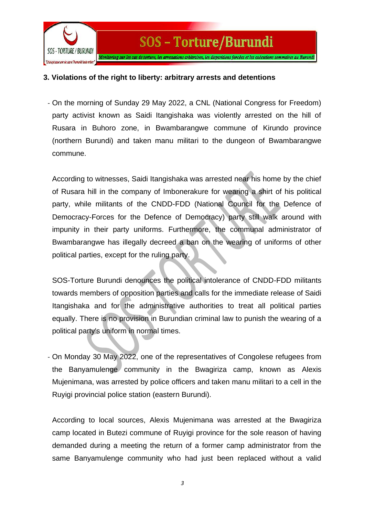

#### **3. Violations of the right to liberty: arbitrary arrests and detentions**

- On the morning of Sunday 29 May 2022, a CNL (National Congress for Freedom) party activist known as Saidi Itangishaka was violently arrested on the hill of Rusara in Buhoro zone, in Bwambarangwe commune of Kirundo province (northern Burundi) and taken manu militari to the dungeon of Bwambarangwe commune.

According to witnesses, Saidi Itangishaka was arrested near his home by the chief of Rusara hill in the company of Imbonerakure for wearing a shirt of his political party, while militants of the CNDD-FDD (National Council for the Defence of Democracy-Forces for the Defence of Democracy) party still walk around with impunity in their party uniforms. Furthermore, the communal administrator of Bwambarangwe has illegally decreed a ban on the wearing of uniforms of other political parties, except for the ruling party.

SOS-Torture Burundi denounces the political intolerance of CNDD-FDD militants towards members of opposition parties and calls for the immediate release of Saidi Itangishaka and for the administrative authorities to treat all political parties equally. There is no provision in Burundian criminal law to punish the wearing of a political party's uniform in normal times.

- On Monday 30 May 2022, one of the representatives of Congolese refugees from the Banyamulenge community in the Bwagiriza camp, known as Alexis Mujenimana, was arrested by police officers and taken manu militari to a cell in the Ruyigi provincial police station (eastern Burundi).

According to local sources, Alexis Mujenimana was arrested at the Bwagiriza camp located in Butezi commune of Ruyigi province for the sole reason of having demanded during a meeting the return of a former camp administrator from the same Banyamulenge community who had just been replaced without a valid

*3*